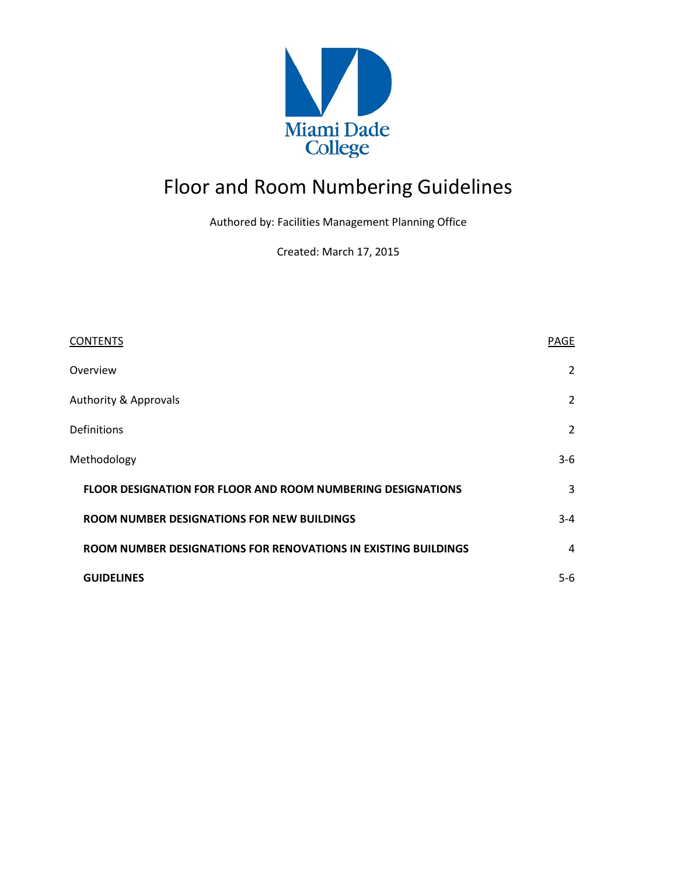

# Floor and Room Numbering Guidelines

Authored by: Facilities Management Planning Office

Created: March 17, 2015

| <b>CONTENTS</b>                                                    | PAGE           |
|--------------------------------------------------------------------|----------------|
| Overview                                                           | $\overline{2}$ |
| <b>Authority &amp; Approvals</b>                                   | $\overline{2}$ |
| Definitions                                                        | $\overline{2}$ |
| Methodology                                                        | $3-6$          |
| <b>FLOOR DESIGNATION FOR FLOOR AND ROOM NUMBERING DESIGNATIONS</b> | 3              |
| ROOM NUMBER DESIGNATIONS FOR NEW BUILDINGS                         | $3 - 4$        |
| ROOM NUMBER DESIGNATIONS FOR RENOVATIONS IN EXISTING BUILDINGS     | 4              |
| <b>GUIDELINES</b>                                                  | $5-6$          |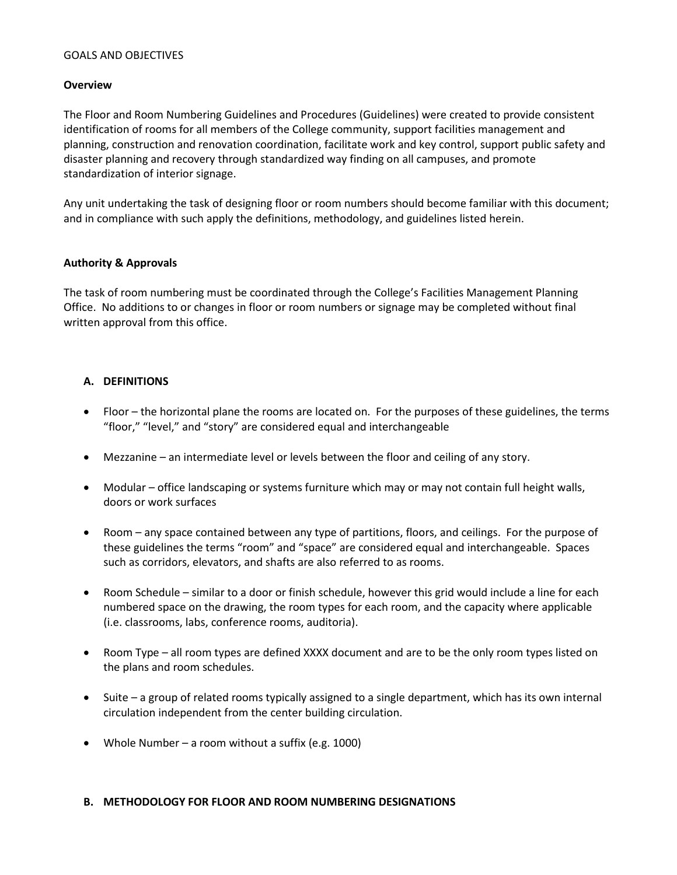#### GOALS AND OBJECTIVES

## **Overview**

The Floor and Room Numbering Guidelines and Procedures (Guidelines) were created to provide consistent identification of rooms for all members of the College community, support facilities management and planning, construction and renovation coordination, facilitate work and key control, support public safety and disaster planning and recovery through standardized way finding on all campuses, and promote standardization of interior signage.

Any unit undertaking the task of designing floor or room numbers should become familiar with this document; and in compliance with such apply the definitions, methodology, and guidelines listed herein.

## **Authority & Approvals**

The task of room numbering must be coordinated through the College's Facilities Management Planning Office. No additions to or changes in floor or room numbers or signage may be completed without final written approval from this office.

## **A. DEFINITIONS**

- Floor the horizontal plane the rooms are located on. For the purposes of these guidelines, the terms "floor," "level," and "story" are considered equal and interchangeable
- Mezzanine an intermediate level or levels between the floor and ceiling of any story.
- Modular office landscaping or systems furniture which may or may not contain full height walls, doors or work surfaces
- Room any space contained between any type of partitions, floors, and ceilings. For the purpose of these guidelines the terms "room" and "space" are considered equal and interchangeable. Spaces such as corridors, elevators, and shafts are also referred to as rooms.
- Room Schedule similar to a door or finish schedule, however this grid would include a line for each numbered space on the drawing, the room types for each room, and the capacity where applicable (i.e. classrooms, labs, conference rooms, auditoria).
- Room Type all room types are defined XXXX document and are to be the only room types listed on the plans and room schedules.
- Suite a group of related rooms typically assigned to a single department, which has its own internal circulation independent from the center building circulation.
- Whole Number a room without a suffix (e.g. 1000)

#### **B. METHODOLOGY FOR FLOOR AND ROOM NUMBERING DESIGNATIONS**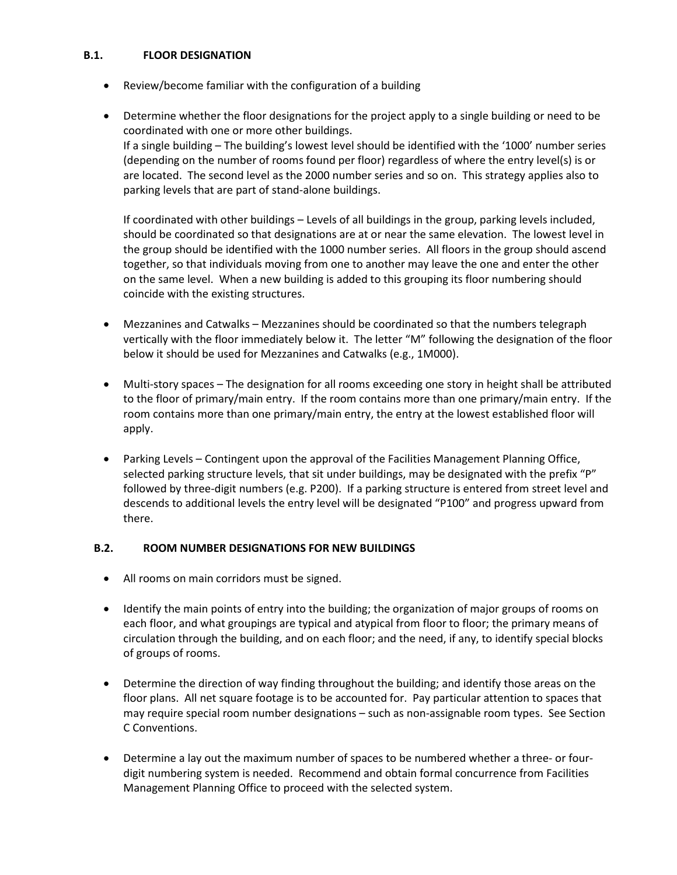## **B.1. FLOOR DESIGNATION**

- Review/become familiar with the configuration of a building
- Determine whether the floor designations for the project apply to a single building or need to be coordinated with one or more other buildings. If a single building – The building's lowest level should be identified with the '1000' number series (depending on the number of rooms found per floor) regardless of where the entry level(s) is or are located. The second level as the 2000 number series and so on. This strategy applies also to parking levels that are part of stand-alone buildings.

If coordinated with other buildings – Levels of all buildings in the group, parking levels included, should be coordinated so that designations are at or near the same elevation. The lowest level in the group should be identified with the 1000 number series. All floors in the group should ascend together, so that individuals moving from one to another may leave the one and enter the other on the same level. When a new building is added to this grouping its floor numbering should coincide with the existing structures.

- Mezzanines and Catwalks Mezzanines should be coordinated so that the numbers telegraph vertically with the floor immediately below it. The letter "M" following the designation of the floor below it should be used for Mezzanines and Catwalks (e.g., 1M000).
- Multi-story spaces The designation for all rooms exceeding one story in height shall be attributed to the floor of primary/main entry. If the room contains more than one primary/main entry. If the room contains more than one primary/main entry, the entry at the lowest established floor will apply.
- Parking Levels Contingent upon the approval of the Facilities Management Planning Office, selected parking structure levels, that sit under buildings, may be designated with the prefix "P" followed by three-digit numbers (e.g. P200). If a parking structure is entered from street level and descends to additional levels the entry level will be designated "P100" and progress upward from there.

## **B.2. ROOM NUMBER DESIGNATIONS FOR NEW BUILDINGS**

- All rooms on main corridors must be signed.
- Identify the main points of entry into the building; the organization of major groups of rooms on each floor, and what groupings are typical and atypical from floor to floor; the primary means of circulation through the building, and on each floor; and the need, if any, to identify special blocks of groups of rooms.
- Determine the direction of way finding throughout the building; and identify those areas on the floor plans. All net square footage is to be accounted for. Pay particular attention to spaces that may require special room number designations – such as non-assignable room types. See Section C Conventions.
- Determine a lay out the maximum number of spaces to be numbered whether a three- or fourdigit numbering system is needed. Recommend and obtain formal concurrence from Facilities Management Planning Office to proceed with the selected system.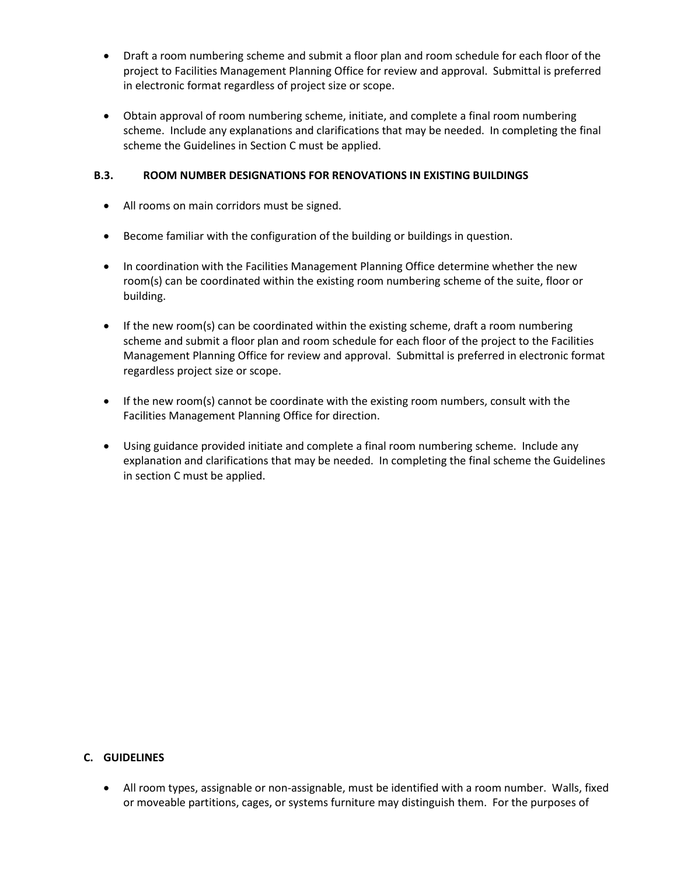- Draft a room numbering scheme and submit a floor plan and room schedule for each floor of the project to Facilities Management Planning Office for review and approval. Submittal is preferred in electronic format regardless of project size or scope.
- Obtain approval of room numbering scheme, initiate, and complete a final room numbering scheme. Include any explanations and clarifications that may be needed. In completing the final scheme the Guidelines in Section C must be applied.

## **B.3. ROOM NUMBER DESIGNATIONS FOR RENOVATIONS IN EXISTING BUILDINGS**

- All rooms on main corridors must be signed.
- Become familiar with the configuration of the building or buildings in question.
- In coordination with the Facilities Management Planning Office determine whether the new room(s) can be coordinated within the existing room numbering scheme of the suite, floor or building.
- If the new room(s) can be coordinated within the existing scheme, draft a room numbering scheme and submit a floor plan and room schedule for each floor of the project to the Facilities Management Planning Office for review and approval. Submittal is preferred in electronic format regardless project size or scope.
- If the new room(s) cannot be coordinate with the existing room numbers, consult with the Facilities Management Planning Office for direction.
- Using guidance provided initiate and complete a final room numbering scheme. Include any explanation and clarifications that may be needed. In completing the final scheme the Guidelines in section C must be applied.

# **C. GUIDELINES**

• All room types, assignable or non-assignable, must be identified with a room number. Walls, fixed or moveable partitions, cages, or systems furniture may distinguish them. For the purposes of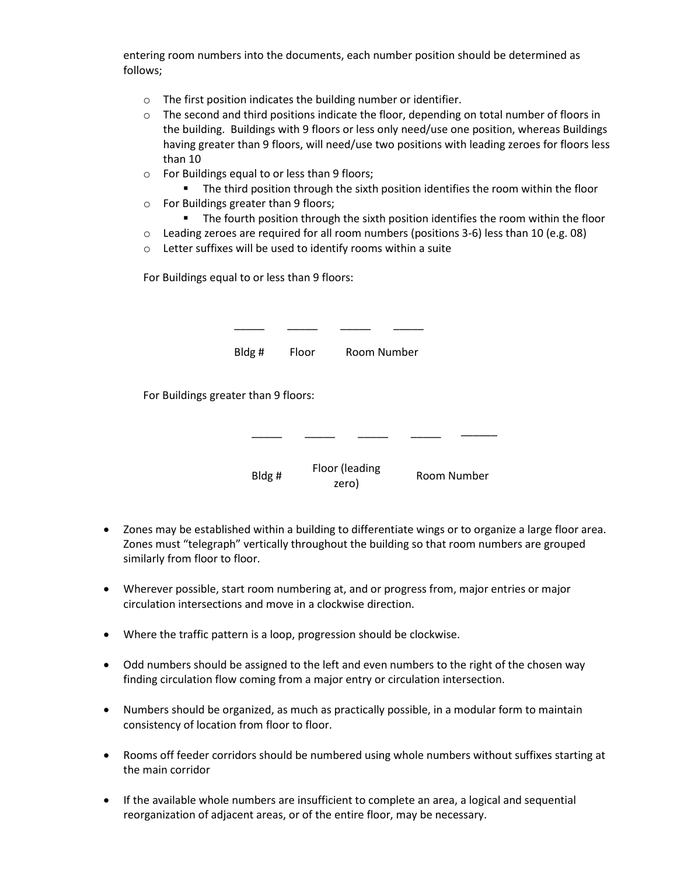entering room numbers into the documents, each number position should be determined as follows;

- o The first position indicates the building number or identifier.
- $\circ$  The second and third positions indicate the floor, depending on total number of floors in the building. Buildings with 9 floors or less only need/use one position, whereas Buildings having greater than 9 floors, will need/use two positions with leading zeroes for floors less than 10
- o For Buildings equal to or less than 9 floors;
	- **The third position through the sixth position identifies the room within the floor**
- o For Buildings greater than 9 floors;
	- The fourth position through the sixth position identifies the room within the floor
- $\circ$  Leading zeroes are required for all room numbers (positions 3-6) less than 10 (e.g. 08)
- o Letter suffixes will be used to identify rooms within a suite

For Buildings equal to or less than 9 floors:

|                                      | Bldg#  | Floor | Room Number             |  |             |
|--------------------------------------|--------|-------|-------------------------|--|-------------|
| For Buildings greater than 9 floors: |        |       |                         |  |             |
|                                      |        |       |                         |  |             |
|                                      | Bldg # |       | Floor (leading<br>zero) |  | Room Number |

- Zones may be established within a building to differentiate wings or to organize a large floor area. Zones must "telegraph" vertically throughout the building so that room numbers are grouped similarly from floor to floor.
- Wherever possible, start room numbering at, and or progress from, major entries or major circulation intersections and move in a clockwise direction.
- Where the traffic pattern is a loop, progression should be clockwise.
- Odd numbers should be assigned to the left and even numbers to the right of the chosen way finding circulation flow coming from a major entry or circulation intersection.
- Numbers should be organized, as much as practically possible, in a modular form to maintain consistency of location from floor to floor.
- Rooms off feeder corridors should be numbered using whole numbers without suffixes starting at the main corridor
- If the available whole numbers are insufficient to complete an area, a logical and sequential reorganization of adjacent areas, or of the entire floor, may be necessary.